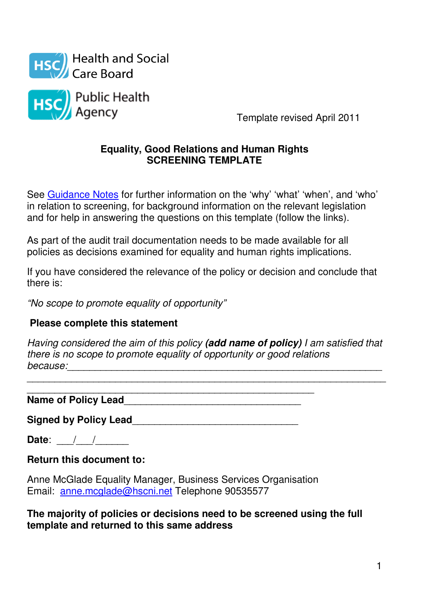



Template revised April 2011

#### **Equality, Good Relations and Human Rights SCREENING TEMPLATE**

See Guidance Notes for further information on the 'why' 'what' 'when', and 'who' in relation to screening, for background information on the relevant legislation and for help in answering the questions on this template (follow the links).

As part of the audit trail documentation needs to be made available for all policies as decisions examined for equality and human rights implications.

If you have considered the relevance of the policy or decision and conclude that there is:

"No scope to promote equality of opportunity"

### **Please complete this statement**

Having considered the aim of this policy **(add name of policy)** I am satisfied that there is no scope to promote equality of opportunity or good relations because:\_\_\_\_\_\_\_\_\_\_\_\_\_\_\_\_\_\_\_\_\_\_\_\_\_\_\_\_\_\_\_\_\_\_\_\_\_\_\_\_\_\_\_\_\_\_\_\_\_\_\_\_\_\_\_\_\_

\_\_\_\_\_\_\_\_\_\_\_\_\_\_\_\_\_\_\_\_\_\_\_\_\_\_\_\_\_\_\_\_\_\_\_\_\_\_\_\_\_\_\_\_\_\_\_\_\_\_\_\_\_\_\_\_\_\_\_\_\_\_\_\_\_

\_\_\_\_\_\_\_\_\_\_\_\_\_\_\_\_\_\_\_\_\_\_\_\_\_\_\_\_\_\_\_\_\_\_\_\_\_\_\_\_\_\_\_\_\_\_\_\_\_\_\_\_ **Name of Policy Lead**\_\_\_\_\_\_\_\_\_\_\_\_\_\_\_\_\_\_\_\_\_\_\_\_\_\_\_\_\_\_\_\_

Signed by Policy Lead **Signed by Policy Lead** 

**Date:** \_\_\_/\_\_\_/

**Return this document to:** 

Anne McGlade Equality Manager, Business Services Organisation Email: anne.mcglade@hscni.net Telephone 90535577

**The majority of policies or decisions need to be screened using the full template and returned to this same address**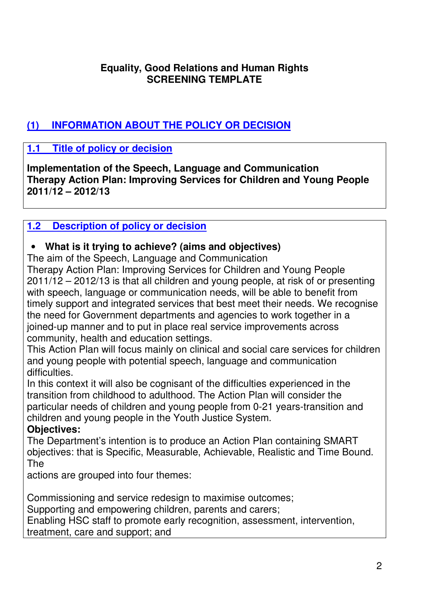#### **Equality, Good Relations and Human Rights SCREENING TEMPLATE**

# **(1) INFORMATION ABOUT THE POLICY OR DECISION**

### **1.1 Title of policy or decision**

**Implementation of the Speech, Language and Communication Therapy Action Plan: Improving Services for Children and Young People 2011/12 – 2012/13**

#### **1.2 Description of policy or decision**

#### • **What is it trying to achieve? (aims and objectives)**

The aim of the Speech, Language and Communication

Therapy Action Plan: Improving Services for Children and Young People 2011/12 – 2012/13 is that all children and young people, at risk of or presenting with speech, language or communication needs, will be able to benefit from timely support and integrated services that best meet their needs. We recognise the need for Government departments and agencies to work together in a joined-up manner and to put in place real service improvements across community, health and education settings.

This Action Plan will focus mainly on clinical and social care services for children and young people with potential speech, language and communication difficulties.

In this context it will also be cognisant of the difficulties experienced in the transition from childhood to adulthood. The Action Plan will consider the particular needs of children and young people from 0-21 years-transition and children and young people in the Youth Justice System.

### **Objectives:**

The Department's intention is to produce an Action Plan containing SMART objectives: that is Specific, Measurable, Achievable, Realistic and Time Bound. The

actions are grouped into four themes:

Commissioning and service redesign to maximise outcomes;

Supporting and empowering children, parents and carers;

Enabling HSC staff to promote early recognition, assessment, intervention, treatment, care and support; and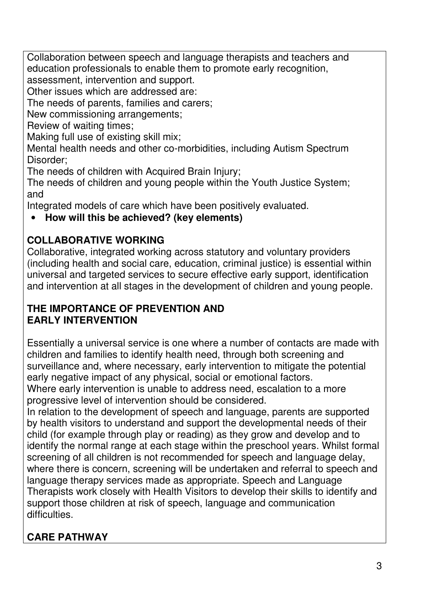Collaboration between speech and language therapists and teachers and education professionals to enable them to promote early recognition, assessment, intervention and support.

Other issues which are addressed are:

The needs of parents, families and carers;

New commissioning arrangements;

Review of waiting times;

Making full use of existing skill mix;

Mental health needs and other co-morbidities, including Autism Spectrum Disorder;

The needs of children with Acquired Brain Injury;

The needs of children and young people within the Youth Justice System; and

Integrated models of care which have been positively evaluated.

### • **How will this be achieved? (key elements)**

# **COLLABORATIVE WORKING**

Collaborative, integrated working across statutory and voluntary providers (including health and social care, education, criminal justice) is essential within universal and targeted services to secure effective early support, identification and intervention at all stages in the development of children and young people.

#### **THE IMPORTANCE OF PREVENTION AND EARLY INTERVENTION**

Essentially a universal service is one where a number of contacts are made with children and families to identify health need, through both screening and surveillance and, where necessary, early intervention to mitigate the potential early negative impact of any physical, social or emotional factors. Where early intervention is unable to address need, escalation to a more

progressive level of intervention should be considered.

In relation to the development of speech and language, parents are supported by health visitors to understand and support the developmental needs of their child (for example through play or reading) as they grow and develop and to identify the normal range at each stage within the preschool years. Whilst formal screening of all children is not recommended for speech and language delay, where there is concern, screening will be undertaken and referral to speech and language therapy services made as appropriate. Speech and Language Therapists work closely with Health Visitors to develop their skills to identify and support those children at risk of speech, language and communication difficulties.

# **CARE PATHWAY**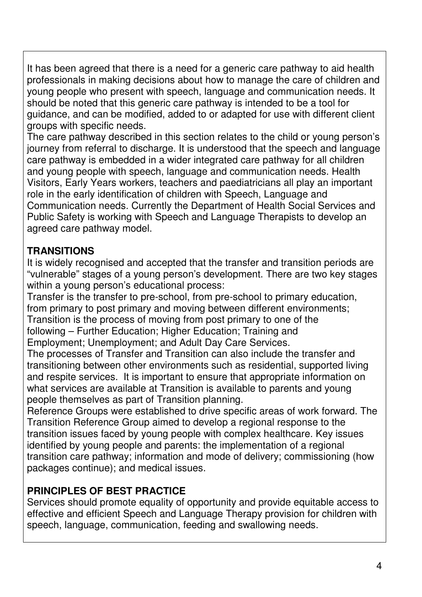It has been agreed that there is a need for a generic care pathway to aid health professionals in making decisions about how to manage the care of children and young people who present with speech, language and communication needs. It should be noted that this generic care pathway is intended to be a tool for guidance, and can be modified, added to or adapted for use with different client groups with specific needs.

The care pathway described in this section relates to the child or young person's journey from referral to discharge. It is understood that the speech and language care pathway is embedded in a wider integrated care pathway for all children and young people with speech, language and communication needs. Health Visitors, Early Years workers, teachers and paediatricians all play an important role in the early identification of children with Speech, Language and Communication needs. Currently the Department of Health Social Services and Public Safety is working with Speech and Language Therapists to develop an agreed care pathway model.

### **TRANSITIONS**

It is widely recognised and accepted that the transfer and transition periods are "vulnerable" stages of a young person's development. There are two key stages within a young person's educational process:

Transfer is the transfer to pre-school, from pre-school to primary education, from primary to post primary and moving between different environments; Transition is the process of moving from post primary to one of the following – Further Education: Higher Education: Training and Employment; Unemployment; and Adult Day Care Services.

The processes of Transfer and Transition can also include the transfer and transitioning between other environments such as residential, supported living and respite services. It is important to ensure that appropriate information on what services are available at Transition is available to parents and young people themselves as part of Transition planning.

Reference Groups were established to drive specific areas of work forward. The Transition Reference Group aimed to develop a regional response to the transition issues faced by young people with complex healthcare. Key issues identified by young people and parents: the implementation of a regional transition care pathway; information and mode of delivery; commissioning (how packages continue); and medical issues.

# **PRINCIPLES OF BEST PRACTICE**

Services should promote equality of opportunity and provide equitable access to effective and efficient Speech and Language Therapy provision for children with speech, language, communication, feeding and swallowing needs.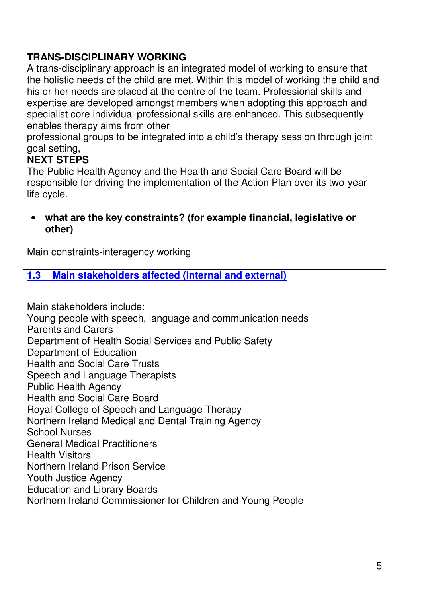### **TRANS-DISCIPLINARY WORKING**

A trans-disciplinary approach is an integrated model of working to ensure that the holistic needs of the child are met. Within this model of working the child and his or her needs are placed at the centre of the team. Professional skills and expertise are developed amongst members when adopting this approach and specialist core individual professional skills are enhanced. This subsequently enables therapy aims from other

professional groups to be integrated into a child's therapy session through joint goal setting,

#### **NEXT STEPS**

The Public Health Agency and the Health and Social Care Board will be responsible for driving the implementation of the Action Plan over its two-year life cycle.

• **what are the key constraints? (for example financial, legislative or other)** 

Main constraints-interagency working

#### **1.3 Main stakeholders affected (internal and external)**

Main stakeholders include: Young people with speech, language and communication needs Parents and Carers Department of Health Social Services and Public Safety Department of Education Health and Social Care Trusts Speech and Language Therapists Public Health Agency Health and Social Care Board Royal College of Speech and Language Therapy Northern Ireland Medical and Dental Training Agency School Nurses General Medical Practitioners Health Visitors Northern Ireland Prison Service Youth Justice Agency Education and Library Boards Northern Ireland Commissioner for Children and Young People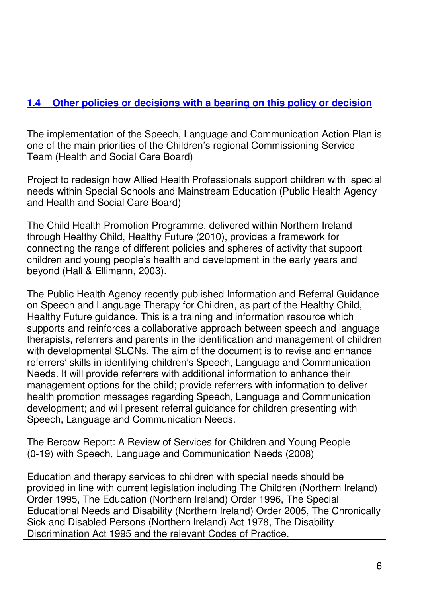### **1.4 Other policies or decisions with a bearing on this policy or decision**

The implementation of the Speech, Language and Communication Action Plan is one of the main priorities of the Children's regional Commissioning Service Team (Health and Social Care Board)

Project to redesign how Allied Health Professionals support children with special needs within Special Schools and Mainstream Education (Public Health Agency and Health and Social Care Board)

The Child Health Promotion Programme, delivered within Northern Ireland through Healthy Child, Healthy Future (2010), provides a framework for connecting the range of different policies and spheres of activity that support children and young people's health and development in the early years and beyond (Hall & Ellimann, 2003).

The Public Health Agency recently published Information and Referral Guidance on Speech and Language Therapy for Children, as part of the Healthy Child, Healthy Future guidance. This is a training and information resource which supports and reinforces a collaborative approach between speech and language therapists, referrers and parents in the identification and management of children with developmental SLCNs. The aim of the document is to revise and enhance referrers' skills in identifying children's Speech, Language and Communication Needs. It will provide referrers with additional information to enhance their management options for the child; provide referrers with information to deliver health promotion messages regarding Speech, Language and Communication development; and will present referral guidance for children presenting with Speech, Language and Communication Needs.

The Bercow Report: A Review of Services for Children and Young People (0-19) with Speech, Language and Communication Needs (2008)

Education and therapy services to children with special needs should be provided in line with current legislation including The Children (Northern Ireland) Order 1995, The Education (Northern Ireland) Order 1996, The Special Educational Needs and Disability (Northern Ireland) Order 2005, The Chronically Sick and Disabled Persons (Northern Ireland) Act 1978, The Disability Discrimination Act 1995 and the relevant Codes of Practice.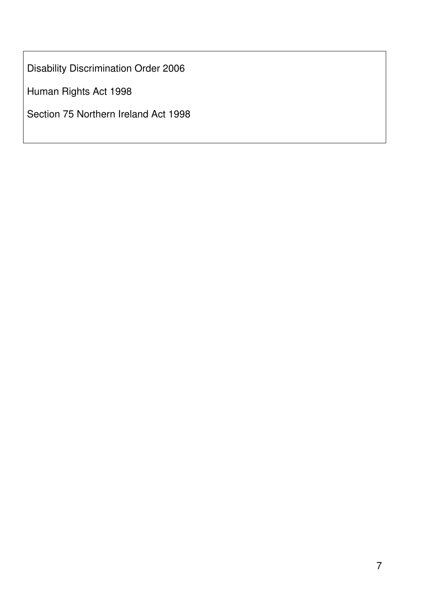Disability Discrimination Order 2006

Human Rights Act 1998

Section 75 Northern Ireland Act 1998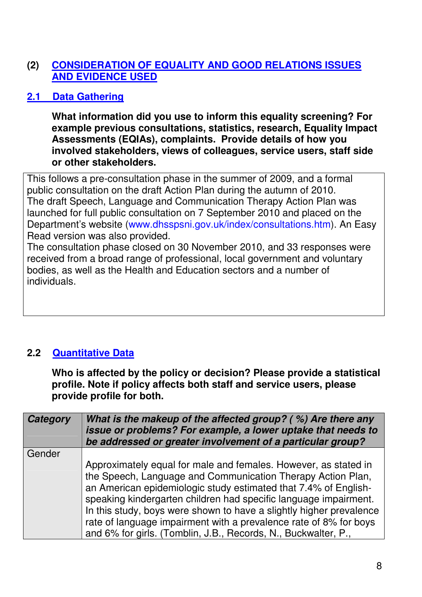#### **(2) CONSIDERATION OF EQUALITY AND GOOD RELATIONS ISSUES AND EVIDENCE USED**

### **2.1 Data Gathering**

**What information did you use to inform this equality screening? For example previous consultations, statistics, research, Equality Impact Assessments (EQIAs), complaints. Provide details of how you involved stakeholders, views of colleagues, service users, staff side or other stakeholders.** 

This follows a pre-consultation phase in the summer of 2009, and a formal public consultation on the draft Action Plan during the autumn of 2010. The draft Speech, Language and Communication Therapy Action Plan was launched for full public consultation on 7 September 2010 and placed on the Department's website (www.dhsspsni.gov.uk/index/consultations.htm). An Easy Read version was also provided.

The consultation phase closed on 30 November 2010, and 33 responses were received from a broad range of professional, local government and voluntary bodies, as well as the Health and Education sectors and a number of individuals.

# **2.2 Quantitative Data**

**Who is affected by the policy or decision? Please provide a statistical profile. Note if policy affects both staff and service users, please provide profile for both.** 

| Category | What is the makeup of the affected group? (%) Are there any<br>issue or problems? For example, a lower uptake that needs to<br>be addressed or greater involvement of a particular group?                                                                                                                                                                                                                                                                                           |
|----------|-------------------------------------------------------------------------------------------------------------------------------------------------------------------------------------------------------------------------------------------------------------------------------------------------------------------------------------------------------------------------------------------------------------------------------------------------------------------------------------|
| Gender   |                                                                                                                                                                                                                                                                                                                                                                                                                                                                                     |
|          | Approximately equal for male and females. However, as stated in<br>the Speech, Language and Communication Therapy Action Plan,<br>an American epidemiologic study estimated that 7.4% of English-<br>speaking kindergarten children had specific language impairment.<br>In this study, boys were shown to have a slightly higher prevalence<br>rate of language impairment with a prevalence rate of 8% for boys<br>and 6% for girls. (Tomblin, J.B., Records, N., Buckwalter, P., |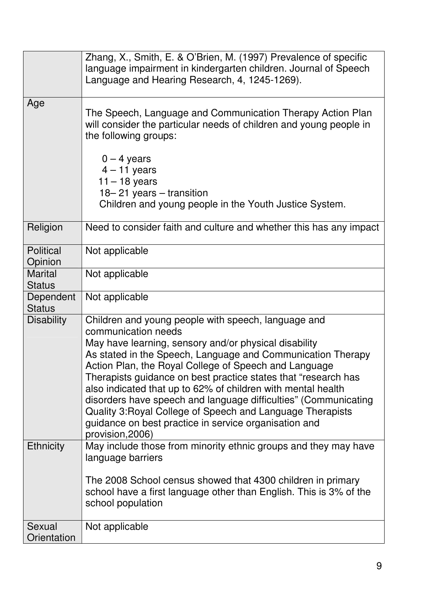|                                 | Zhang, X., Smith, E. & O'Brien, M. (1997) Prevalence of specific<br>language impairment in kindergarten children. Journal of Speech<br>Language and Hearing Research, 4, 1245-1269).                                                                                                                                                                                                                                                                                                                                                                                                                        |
|---------------------------------|-------------------------------------------------------------------------------------------------------------------------------------------------------------------------------------------------------------------------------------------------------------------------------------------------------------------------------------------------------------------------------------------------------------------------------------------------------------------------------------------------------------------------------------------------------------------------------------------------------------|
| Age                             | The Speech, Language and Communication Therapy Action Plan<br>will consider the particular needs of children and young people in<br>the following groups:                                                                                                                                                                                                                                                                                                                                                                                                                                                   |
|                                 | $0 - 4$ years<br>$4 - 11$ years<br>$11 - 18$ years<br>$18 - 21$ years $-$ transition<br>Children and young people in the Youth Justice System.                                                                                                                                                                                                                                                                                                                                                                                                                                                              |
| Religion                        | Need to consider faith and culture and whether this has any impact                                                                                                                                                                                                                                                                                                                                                                                                                                                                                                                                          |
| <b>Political</b><br>Opinion     | Not applicable                                                                                                                                                                                                                                                                                                                                                                                                                                                                                                                                                                                              |
| <b>Marital</b><br><b>Status</b> | Not applicable                                                                                                                                                                                                                                                                                                                                                                                                                                                                                                                                                                                              |
| Dependent<br><b>Status</b>      | Not applicable                                                                                                                                                                                                                                                                                                                                                                                                                                                                                                                                                                                              |
| <b>Disability</b>               | Children and young people with speech, language and<br>communication needs<br>May have learning, sensory and/or physical disability<br>As stated in the Speech, Language and Communication Therapy<br>Action Plan, the Royal College of Speech and Language<br>Therapists guidance on best practice states that "research has<br>also indicated that up to 62% of children with mental health<br>disorders have speech and language difficulties" (Communicating<br>Quality 3: Royal College of Speech and Language Therapists<br>guidance on best practice in service organisation and<br>provision, 2006) |
| <b>Ethnicity</b>                | May include those from minority ethnic groups and they may have<br>language barriers<br>The 2008 School census showed that 4300 children in primary<br>school have a first language other than English. This is 3% of the<br>school population                                                                                                                                                                                                                                                                                                                                                              |
| Sexual<br>Orientation           | Not applicable                                                                                                                                                                                                                                                                                                                                                                                                                                                                                                                                                                                              |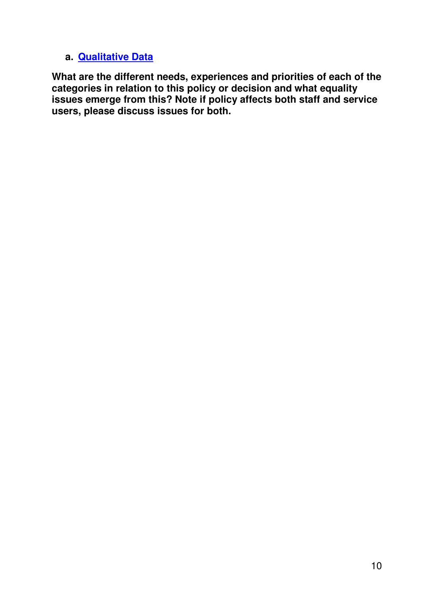#### **a. Qualitative Data**

**What are the different needs, experiences and priorities of each of the categories in relation to this policy or decision and what equality issues emerge from this? Note if policy affects both staff and service users, please discuss issues for both.**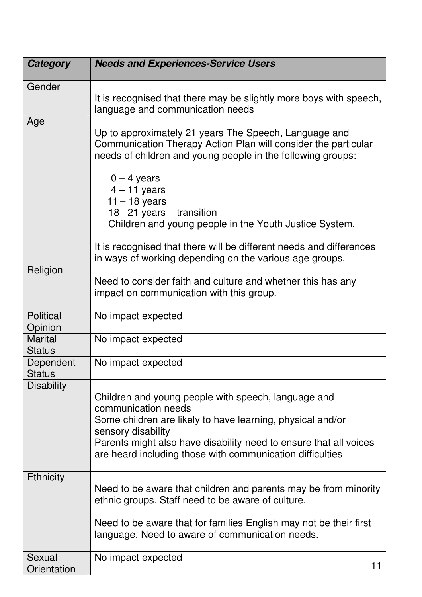| <b>Category</b>                 | <b>Needs and Experiences-Service Users</b>                                                                                                                                                                                                                                                       |
|---------------------------------|--------------------------------------------------------------------------------------------------------------------------------------------------------------------------------------------------------------------------------------------------------------------------------------------------|
| Gender                          |                                                                                                                                                                                                                                                                                                  |
|                                 | It is recognised that there may be slightly more boys with speech,<br>language and communication needs                                                                                                                                                                                           |
| Age                             | Up to approximately 21 years The Speech, Language and<br>Communication Therapy Action Plan will consider the particular<br>needs of children and young people in the following groups:                                                                                                           |
|                                 | $0 - 4$ years<br>$4 - 11$ years<br>$11 - 18$ years<br>18–21 years – transition<br>Children and young people in the Youth Justice System.                                                                                                                                                         |
|                                 | It is recognised that there will be different needs and differences<br>in ways of working depending on the various age groups.                                                                                                                                                                   |
| Religion                        | Need to consider faith and culture and whether this has any<br>impact on communication with this group.                                                                                                                                                                                          |
| <b>Political</b><br>Opinion     | No impact expected                                                                                                                                                                                                                                                                               |
| <b>Marital</b><br><b>Status</b> | No impact expected                                                                                                                                                                                                                                                                               |
| Dependent<br><b>Status</b>      | No impact expected                                                                                                                                                                                                                                                                               |
| <b>Disability</b>               | Children and young people with speech, language and<br>communication needs<br>Some children are likely to have learning, physical and/or<br>sensory disability<br>Parents might also have disability-need to ensure that all voices<br>are heard including those with communication difficulties |
| <b>Ethnicity</b>                | Need to be aware that children and parents may be from minority<br>ethnic groups. Staff need to be aware of culture.<br>Need to be aware that for families English may not be their first<br>language. Need to aware of communication needs.                                                     |
| Sexual<br>Orientation           | No impact expected<br>11                                                                                                                                                                                                                                                                         |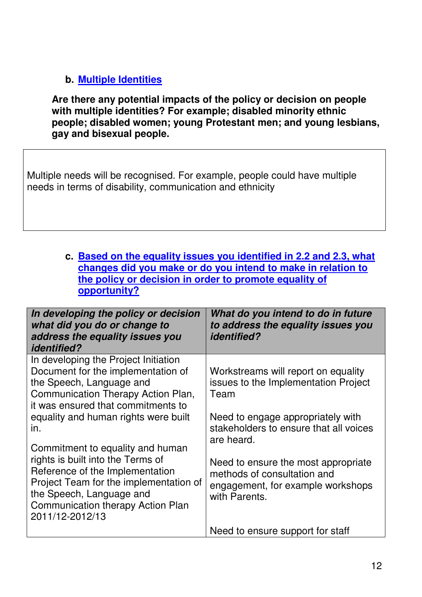### **b. Multiple Identities**

**Are there any potential impacts of the policy or decision on people with multiple identities? For example; disabled minority ethnic people; disabled women; young Protestant men; and young lesbians, gay and bisexual people.** 

Multiple needs will be recognised. For example, people could have multiple needs in terms of disability, communication and ethnicity

#### **c. Based on the equality issues you identified in 2.2 and 2.3, what changes did you make or do you intend to make in relation to the policy or decision in order to promote equality of opportunity?**

| In developing the policy or decision<br>what did you do or change to<br>address the equality issues you<br><i>identified?</i>                                                                             | What do you intend to do in future<br>to address the equality issues you<br><i>identified?</i>                           |
|-----------------------------------------------------------------------------------------------------------------------------------------------------------------------------------------------------------|--------------------------------------------------------------------------------------------------------------------------|
| In developing the Project Initiation<br>Document for the implementation of<br>the Speech, Language and<br>Communication Therapy Action Plan,<br>it was ensured that commitments to                        | Workstreams will report on equality<br>issues to the Implementation Project<br>Team                                      |
| equality and human rights were built<br>in.<br>Commitment to equality and human                                                                                                                           | Need to engage appropriately with<br>stakeholders to ensure that all voices<br>are heard.                                |
| rights is built into the Terms of<br>Reference of the Implementation<br>Project Team for the implementation of<br>the Speech, Language and<br><b>Communication therapy Action Plan</b><br>2011/12-2012/13 | Need to ensure the most appropriate<br>methods of consultation and<br>engagement, for example workshops<br>with Parents. |
|                                                                                                                                                                                                           | Need to ensure support for staff                                                                                         |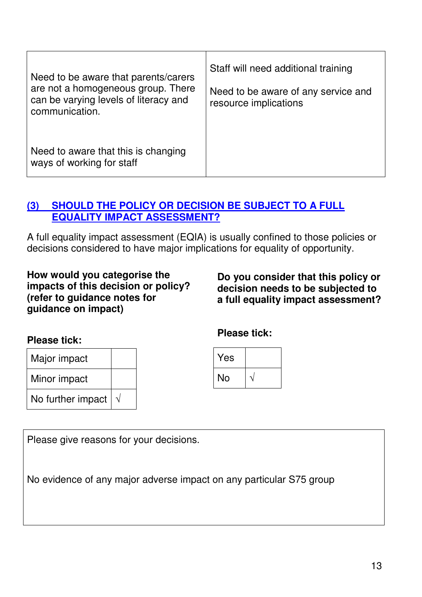| Need to be aware that parents/carers<br>are not a homogeneous group. There<br>can be varying levels of literacy and<br>communication. | Staff will need additional training<br>Need to be aware of any service and<br>resource implications |
|---------------------------------------------------------------------------------------------------------------------------------------|-----------------------------------------------------------------------------------------------------|
| Need to aware that this is changing<br>ways of working for staff                                                                      |                                                                                                     |

### **(3) SHOULD THE POLICY OR DECISION BE SUBJECT TO A FULL EQUALITY IMPACT ASSESSMENT?**

A full equality impact assessment (EQIA) is usually confined to those policies or decisions considered to have major implications for equality of opportunity.

**How would you categorise the impacts of this decision or policy? (refer to guidance notes for guidance on impact)** 

**Do you consider that this policy or decision needs to be subjected to a full equality impact assessment?** 

#### **Please tick:**

| Major impact      |  |
|-------------------|--|
| Minor impact      |  |
| No further impact |  |

**Please tick:** 



Please give reasons for your decisions.

No evidence of any major adverse impact on any particular S75 group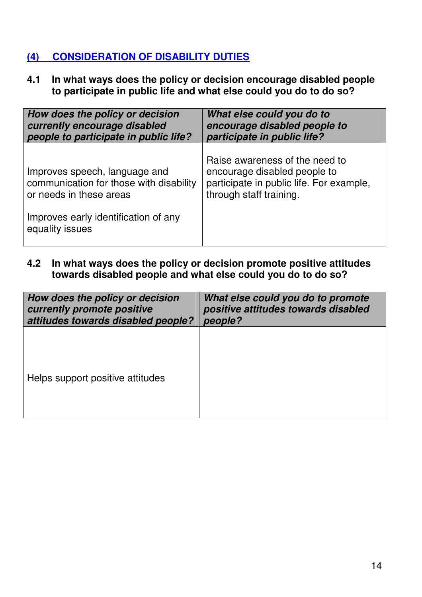### **(4) CONSIDERATION OF DISABILITY DUTIES**

**4.1 In what ways does the policy or decision encourage disabled people to participate in public life and what else could you do to do so?** 

| How does the policy or decision                                                                                                                                | What else could you do to                                                                                                             |
|----------------------------------------------------------------------------------------------------------------------------------------------------------------|---------------------------------------------------------------------------------------------------------------------------------------|
| currently encourage disabled                                                                                                                                   | encourage disabled people to                                                                                                          |
| people to participate in public life?                                                                                                                          | participate in public life?                                                                                                           |
| Improves speech, language and<br>communication for those with disability<br>or needs in these areas<br>Improves early identification of any<br>equality issues | Raise awareness of the need to<br>encourage disabled people to<br>participate in public life. For example,<br>through staff training. |

**4.2 In what ways does the policy or decision promote positive attitudes towards disabled people and what else could you do to do so?** 

| How does the policy or decision    | What else could you do to promote   |
|------------------------------------|-------------------------------------|
| currently promote positive         | positive attitudes towards disabled |
| attitudes towards disabled people? | people?                             |
| Helps support positive attitudes   |                                     |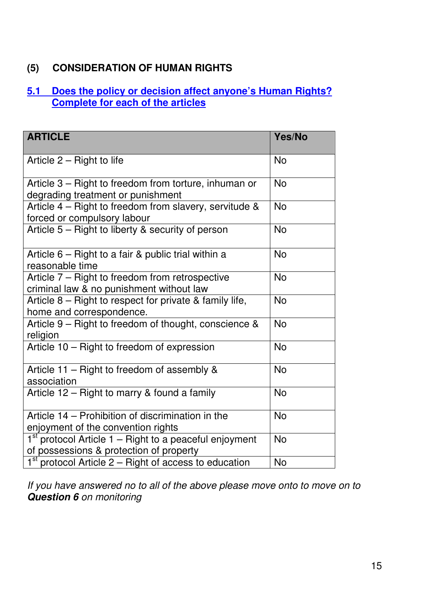### **(5) CONSIDERATION OF HUMAN RIGHTS**

#### **5.1 Does the policy or decision affect anyone's Human Rights? Complete for each of the articles**

| <b>ARTICLE</b>                                                                                      | Yes/No    |
|-----------------------------------------------------------------------------------------------------|-----------|
| Article 2 – Right to life                                                                           | <b>No</b> |
| Article 3 - Right to freedom from torture, inhuman or<br>degrading treatment or punishment          | <b>No</b> |
| Article 4 - Right to freedom from slavery, servitude &<br>forced or compulsory labour               | <b>No</b> |
| Article 5 – Right to liberty & security of person                                                   | <b>No</b> |
| Article 6 – Right to a fair & public trial within a<br>reasonable time                              | <b>No</b> |
| Article 7 – Right to freedom from retrospective<br>criminal law & no punishment without law         | <b>No</b> |
| Article 8 - Right to respect for private & family life,<br>home and correspondence.                 | <b>No</b> |
| Article 9 - Right to freedom of thought, conscience &<br>religion                                   | <b>No</b> |
| Article 10 - Right to freedom of expression                                                         | <b>No</b> |
| Article 11 – Right to freedom of assembly &<br>association                                          | <b>No</b> |
| Article 12 – Right to marry & found a family                                                        | <b>No</b> |
| Article 14 – Prohibition of discrimination in the<br>enjoyment of the convention rights             | <b>No</b> |
| $1st$ protocol Article 1 – Right to a peaceful enjoyment<br>of possessions & protection of property | <b>No</b> |
| $1st$ protocol Article 2 – Right of access to education                                             | <b>No</b> |

If you have answered no to all of the above please move onto to move on to **Question 6** on monitoring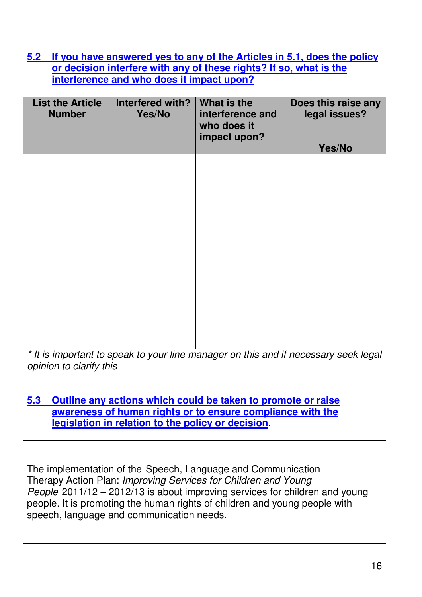**5.2 If you have answered yes to any of the Articles in 5.1, does the policy or decision interfere with any of these rights? If so, what is the interference and who does it impact upon?**

| <b>List the Article</b><br><b>Number</b> | Interfered with?<br>Yes/No | What is the<br>interference and<br>who does it<br>impact upon? | Does this raise any<br>legal issues?<br>Yes/No |
|------------------------------------------|----------------------------|----------------------------------------------------------------|------------------------------------------------|
|                                          |                            |                                                                |                                                |
|                                          |                            |                                                                |                                                |
|                                          |                            |                                                                |                                                |
|                                          |                            |                                                                |                                                |
|                                          |                            |                                                                |                                                |

\* It is important to speak to your line manager on this and if necessary seek legal opinion to clarify this

#### **5.3 Outline any actions which could be taken to promote or raise awareness of human rights or to ensure compliance with the legislation in relation to the policy or decision.**

The implementation of the Speech, Language and Communication Therapy Action Plan: Improving Services for Children and Young People 2011/12 – 2012/13 is about improving services for children and young people. It is promoting the human rights of children and young people with speech, language and communication needs.